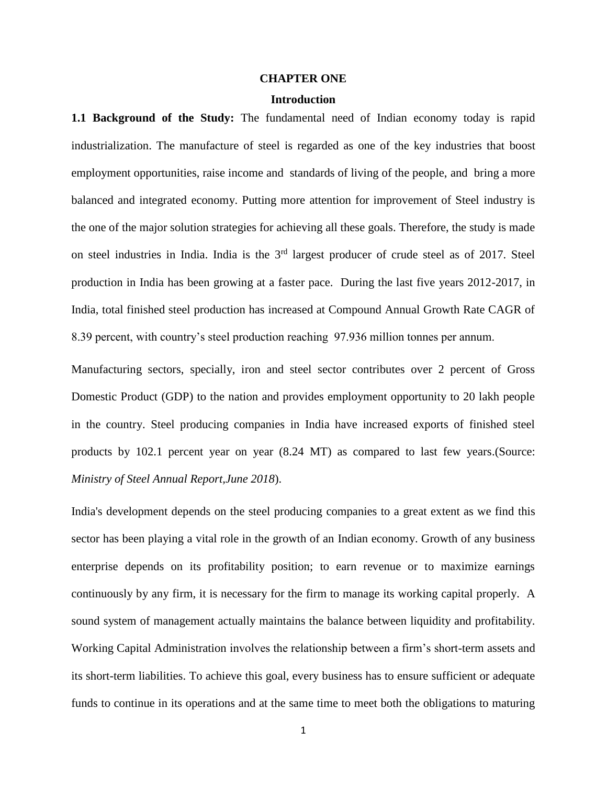#### **CHAPTER ONE**

## **Introduction**

**1.1 Background of the Study:** The fundamental need of Indian economy today is rapid industrialization. The manufacture of steel is regarded as one of the key industries that boost employment opportunities, raise income and standards of living of the people, and bring a more balanced and integrated economy. Putting more attention for improvement of Steel industry is the one of the major solution strategies for achieving all these goals. Therefore, the study is made on steel industries in India. India is the 3<sup>rd</sup> largest producer of crude steel as of 2017. Steel production in India has been growing at a faster pace. During the last five years 2012-2017, in India, total finished steel production has increased at Compound Annual Growth Rate CAGR of 8.39 percent, with country's steel production reaching 97.936 million tonnes per annum.

Manufacturing sectors, specially, iron and steel sector contributes over 2 percent of Gross Domestic Product (GDP) to the nation and provides employment opportunity to 20 lakh people in the country. Steel producing companies in India have increased exports of finished steel products by 102.1 percent year on year (8.24 MT) as compared to last few years.(Source: *Ministry of Steel Annual Report,June 2018*).

India's development depends on the steel producing companies to a great extent as we find this sector has been playing a vital role in the growth of an Indian economy. Growth of any business enterprise depends on its profitability position; to earn revenue or to maximize earnings continuously by any firm, it is necessary for the firm to manage its working capital properly. A sound system of management actually maintains the balance between liquidity and profitability. Working Capital Administration involves the relationship between a firm's short-term assets and its short-term liabilities. To achieve this goal, every business has to ensure sufficient or adequate funds to continue in its operations and at the same time to meet both the obligations to maturing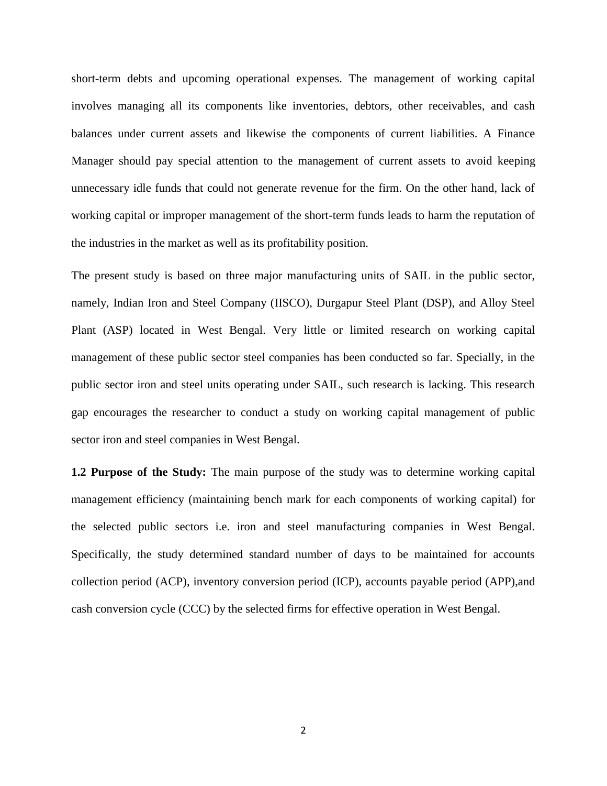short-term debts and upcoming operational expenses. The management of working capital involves managing all its components like inventories, debtors, other receivables, and cash balances under current assets and likewise the components of current liabilities. A Finance Manager should pay special attention to the management of current assets to avoid keeping unnecessary idle funds that could not generate revenue for the firm. On the other hand, lack of working capital or improper management of the short-term funds leads to harm the reputation of the industries in the market as well as its profitability position.

The present study is based on three major manufacturing units of SAIL in the public sector, namely, Indian Iron and Steel Company (IISCO), Durgapur Steel Plant (DSP), and Alloy Steel Plant (ASP) located in West Bengal. Very little or limited research on working capital management of these public sector steel companies has been conducted so far. Specially, in the public sector iron and steel units operating under SAIL, such research is lacking. This research gap encourages the researcher to conduct a study on working capital management of public sector iron and steel companies in West Bengal.

**1.2 Purpose of the Study:** The main purpose of the study was to determine working capital management efficiency (maintaining bench mark for each components of working capital) for the selected public sectors i.e. iron and steel manufacturing companies in West Bengal. Specifically, the study determined standard number of days to be maintained for accounts collection period (ACP), inventory conversion period (ICP), accounts payable period (APP),and cash conversion cycle (CCC) by the selected firms for effective operation in West Bengal.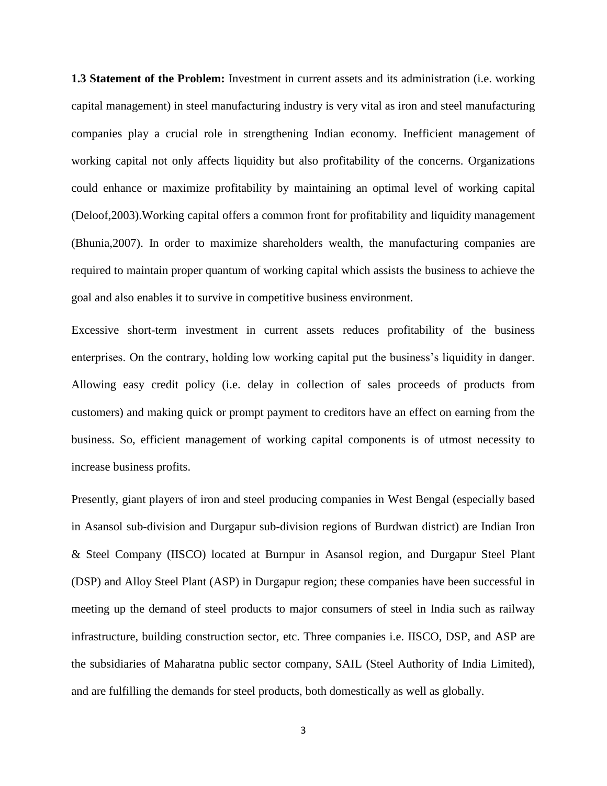**1.3 Statement of the Problem:** Investment in current assets and its administration (i.e. working capital management) in steel manufacturing industry is very vital as iron and steel manufacturing companies play a crucial role in strengthening Indian economy. Inefficient management of working capital not only affects liquidity but also profitability of the concerns. Organizations could enhance or maximize profitability by maintaining an optimal level of working capital (Deloof,2003).Working capital offers a common front for profitability and liquidity management (Bhunia,2007). In order to maximize shareholders wealth, the manufacturing companies are required to maintain proper quantum of working capital which assists the business to achieve the goal and also enables it to survive in competitive business environment.

Excessive short-term investment in current assets reduces profitability of the business enterprises. On the contrary, holding low working capital put the business's liquidity in danger. Allowing easy credit policy (i.e. delay in collection of sales proceeds of products from customers) and making quick or prompt payment to creditors have an effect on earning from the business. So, efficient management of working capital components is of utmost necessity to increase business profits.

Presently, giant players of iron and steel producing companies in West Bengal (especially based in Asansol sub-division and Durgapur sub-division regions of Burdwan district) are Indian Iron & Steel Company (IISCO) located at Burnpur in Asansol region, and Durgapur Steel Plant (DSP) and Alloy Steel Plant (ASP) in Durgapur region; these companies have been successful in meeting up the demand of steel products to major consumers of steel in India such as railway infrastructure, building construction sector, etc. Three companies i.e. IISCO, DSP, and ASP are the subsidiaries of Maharatna public sector company, SAIL (Steel Authority of India Limited), and are fulfilling the demands for steel products, both domestically as well as globally.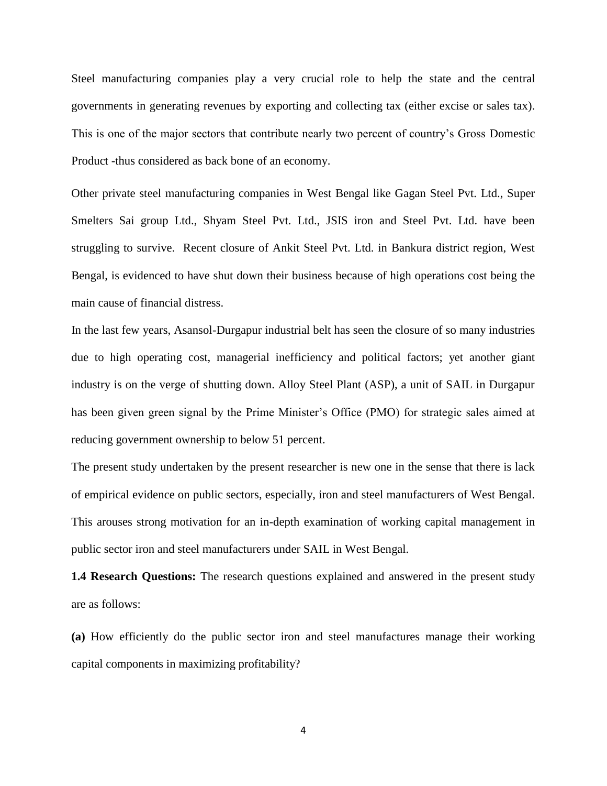Steel manufacturing companies play a very crucial role to help the state and the central governments in generating revenues by exporting and collecting tax (either excise or sales tax). This is one of the major sectors that contribute nearly two percent of country's Gross Domestic Product -thus considered as back bone of an economy.

Other private steel manufacturing companies in West Bengal like Gagan Steel Pvt. Ltd., Super Smelters Sai group Ltd., Shyam Steel Pvt. Ltd., JSIS iron and Steel Pvt. Ltd. have been struggling to survive. Recent closure of Ankit Steel Pvt. Ltd. in Bankura district region, West Bengal, is evidenced to have shut down their business because of high operations cost being the main cause of financial distress.

In the last few years, Asansol-Durgapur industrial belt has seen the closure of so many industries due to high operating cost, managerial inefficiency and political factors; yet another giant industry is on the verge of shutting down. Alloy Steel Plant (ASP), a unit of SAIL in Durgapur has been given green signal by the Prime Minister's Office (PMO) for strategic sales aimed at reducing government ownership to below 51 percent.

The present study undertaken by the present researcher is new one in the sense that there is lack of empirical evidence on public sectors, especially, iron and steel manufacturers of West Bengal. This arouses strong motivation for an in-depth examination of working capital management in public sector iron and steel manufacturers under SAIL in West Bengal.

**1.4 Research Questions:** The research questions explained and answered in the present study are as follows:

**(a)** How efficiently do the public sector iron and steel manufactures manage their working capital components in maximizing profitability?

4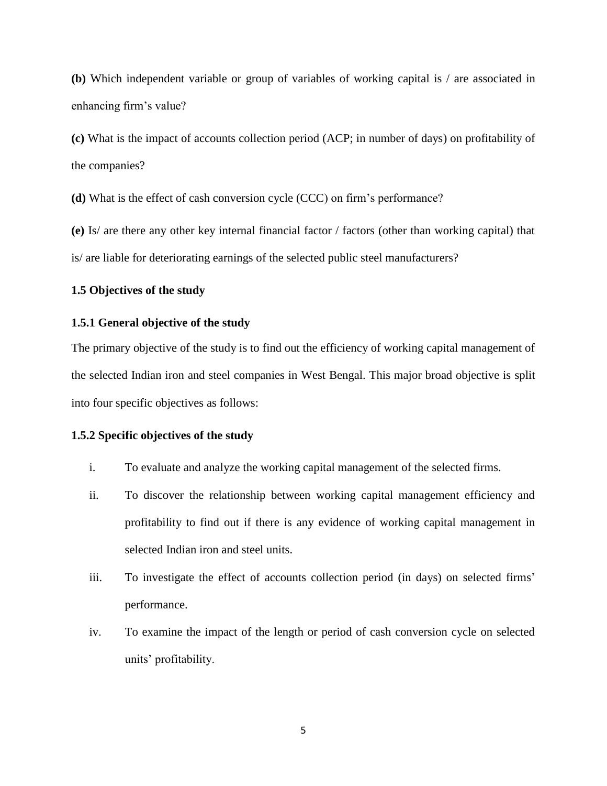**(b)** Which independent variable or group of variables of working capital is / are associated in enhancing firm's value?

**(c)** What is the impact of accounts collection period (ACP; in number of days) on profitability of the companies?

**(d)** What is the effect of cash conversion cycle (CCC) on firm's performance?

**(e)** Is/ are there any other key internal financial factor / factors (other than working capital) that is/ are liable for deteriorating earnings of the selected public steel manufacturers?

## **1.5 Objectives of the study**

## **1.5.1 General objective of the study**

The primary objective of the study is to find out the efficiency of working capital management of the selected Indian iron and steel companies in West Bengal. This major broad objective is split into four specific objectives as follows:

## **1.5.2 Specific objectives of the study**

- i. To evaluate and analyze the working capital management of the selected firms.
- ii. To discover the relationship between working capital management efficiency and profitability to find out if there is any evidence of working capital management in selected Indian iron and steel units.
- iii. To investigate the effect of accounts collection period (in days) on selected firms' performance.
- iv. To examine the impact of the length or period of cash conversion cycle on selected units' profitability.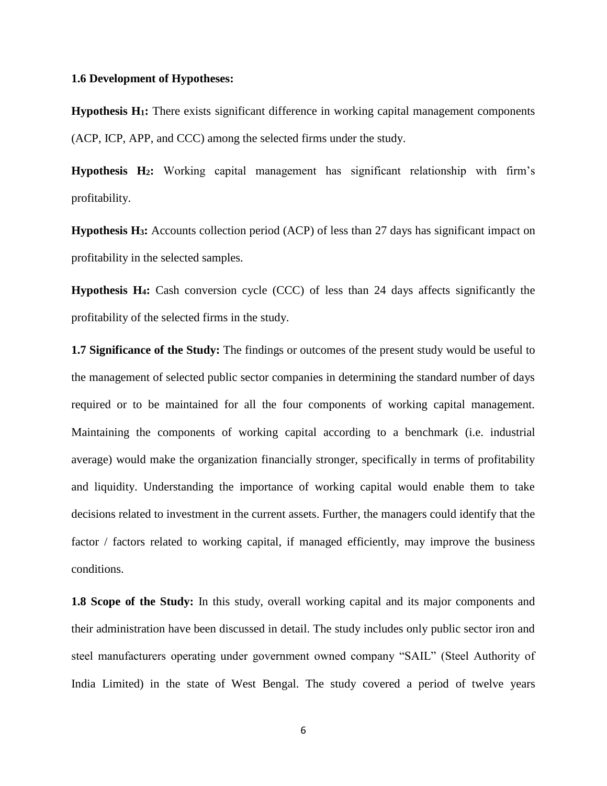## **1.6 Development of Hypotheses:**

**Hypothesis H1:** There exists significant difference in working capital management components (ACP, ICP, APP, and CCC) among the selected firms under the study.

**Hypothesis H2:** Working capital management has significant relationship with firm's profitability.

**Hypothesis H3:** Accounts collection period (ACP) of less than 27 days has significant impact on profitability in the selected samples.

**Hypothesis H4:** Cash conversion cycle (CCC) of less than 24 days affects significantly the profitability of the selected firms in the study.

**1.7 Significance of the Study:** The findings or outcomes of the present study would be useful to the management of selected public sector companies in determining the standard number of days required or to be maintained for all the four components of working capital management. Maintaining the components of working capital according to a benchmark (i.e. industrial average) would make the organization financially stronger, specifically in terms of profitability and liquidity. Understanding the importance of working capital would enable them to take decisions related to investment in the current assets. Further, the managers could identify that the factor / factors related to working capital, if managed efficiently, may improve the business conditions.

**1.8 Scope of the Study:** In this study, overall working capital and its major components and their administration have been discussed in detail. The study includes only public sector iron and steel manufacturers operating under government owned company "SAIL" (Steel Authority of India Limited) in the state of West Bengal. The study covered a period of twelve years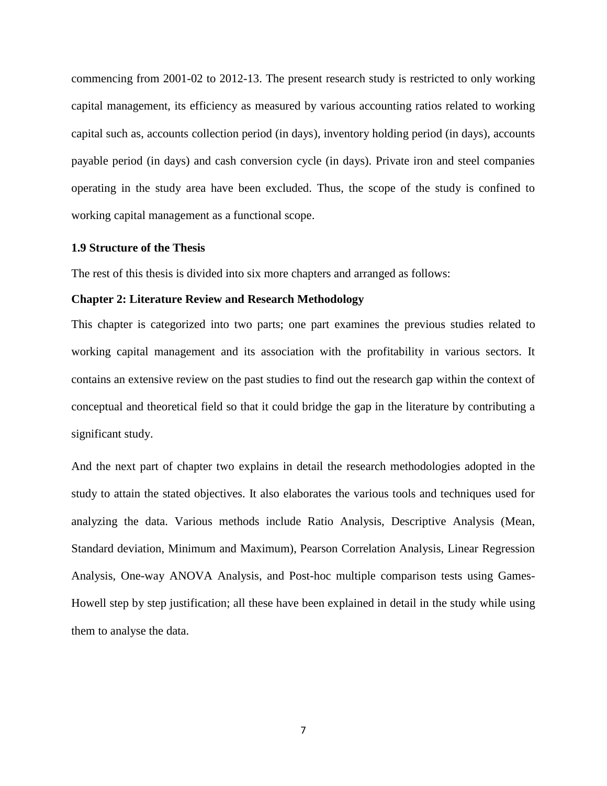commencing from 2001-02 to 2012-13. The present research study is restricted to only working capital management, its efficiency as measured by various accounting ratios related to working capital such as, accounts collection period (in days), inventory holding period (in days), accounts payable period (in days) and cash conversion cycle (in days). Private iron and steel companies operating in the study area have been excluded. Thus, the scope of the study is confined to working capital management as a functional scope.

## **1.9 Structure of the Thesis**

The rest of this thesis is divided into six more chapters and arranged as follows:

#### **Chapter 2: Literature Review and Research Methodology**

This chapter is categorized into two parts; one part examines the previous studies related to working capital management and its association with the profitability in various sectors. It contains an extensive review on the past studies to find out the research gap within the context of conceptual and theoretical field so that it could bridge the gap in the literature by contributing a significant study.

And the next part of chapter two explains in detail the research methodologies adopted in the study to attain the stated objectives. It also elaborates the various tools and techniques used for analyzing the data. Various methods include Ratio Analysis, Descriptive Analysis (Mean, Standard deviation, Minimum and Maximum), Pearson Correlation Analysis, Linear Regression Analysis, One-way ANOVA Analysis, and Post-hoc multiple comparison tests using Games-Howell step by step justification; all these have been explained in detail in the study while using them to analyse the data.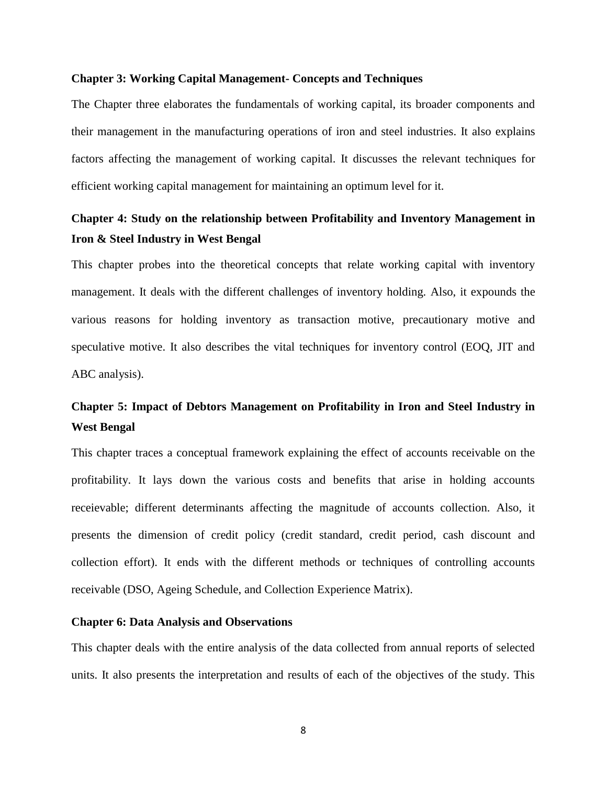## **Chapter 3: Working Capital Management- Concepts and Techniques**

The Chapter three elaborates the fundamentals of working capital, its broader components and their management in the manufacturing operations of iron and steel industries. It also explains factors affecting the management of working capital. It discusses the relevant techniques for efficient working capital management for maintaining an optimum level for it.

# **Chapter 4: Study on the relationship between Profitability and Inventory Management in Iron & Steel Industry in West Bengal**

This chapter probes into the theoretical concepts that relate working capital with inventory management. It deals with the different challenges of inventory holding. Also, it expounds the various reasons for holding inventory as transaction motive, precautionary motive and speculative motive. It also describes the vital techniques for inventory control (EOQ, JIT and ABC analysis).

# **Chapter 5: Impact of Debtors Management on Profitability in Iron and Steel Industry in West Bengal**

This chapter traces a conceptual framework explaining the effect of accounts receivable on the profitability. It lays down the various costs and benefits that arise in holding accounts receievable; different determinants affecting the magnitude of accounts collection. Also, it presents the dimension of credit policy (credit standard, credit period, cash discount and collection effort). It ends with the different methods or techniques of controlling accounts receivable (DSO, Ageing Schedule, and Collection Experience Matrix).

# **Chapter 6: Data Analysis and Observations**

This chapter deals with the entire analysis of the data collected from annual reports of selected units. It also presents the interpretation and results of each of the objectives of the study. This